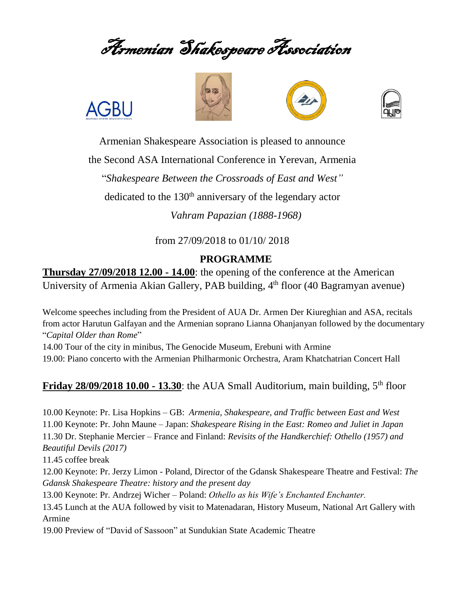Armenian Shakespeare Association







Armenian Shakespeare Association is pleased to announce

the Second ASA International Conference in Yerevan, Armenia

"*Shakespeare Between the Crossroads of East and West"*

dedicated to the  $130<sup>th</sup>$  anniversary of the legendary actor

*Vahram Papazian (1888-1968)*

from 27/09/2018 to 01/10/ 2018

## **PROGRAMME**

**Thursday 27/09/2018 12.00 - 14.00**: the opening of the conference at the American University of Armenia Akian Gallery, PAB building, 4<sup>th</sup> floor (40 Bagramyan avenue)

Welcome speeches including from the President of AUA Dr. Armen Der Kiureghian and ASA, recitals from actor Harutun Galfayan and the Armenian soprano Lianna Ohanjanyan followed by the documentary "*Capital Older than Rome*"

14.00 Tour of the city in minibus, The Genocide Museum, Erebuni with Armine 19.00: Piano concerto with the Armenian Philharmonic Orchestra, Aram Khatchatrian Concert Hall

## **Friday 28/09/2018 10.00 - 13.30**: the AUA Small Auditorium, main building, 5<sup>th</sup> floor

10.00 Keynote: Pr. Lisa Hopkins – GB: *Armenia, Shakespeare, and Traffic between East and West* 11.00 Keynote: Pr. John Maune – Japan: *Shakespeare Rising in the East: Romeo and Juliet in Japan* 11.30 Dr. Stephanie Mercier – France and Finland: *Revisits of the Handkerchief: Othello (1957) and Beautiful Devils (2017)*

11.45 coffee break

**AGBU** 

12.00 Keynote: Pr. Jerzy Limon - Poland, Director of the Gdansk Shakespeare Theatre and Festival: *The Gdansk Shakespeare Theatre: history and the present day*

13.00 Keynote: Pr. Andrzej Wicher – Poland: *Othello as his Wife's Enchanted Enchanter.*

13.45 Lunch at the AUA followed by visit to Matenadaran, History Museum, National Art Gallery with Armine

19.00 Preview of "David of Sassoon" at Sundukian State Academic Theatre